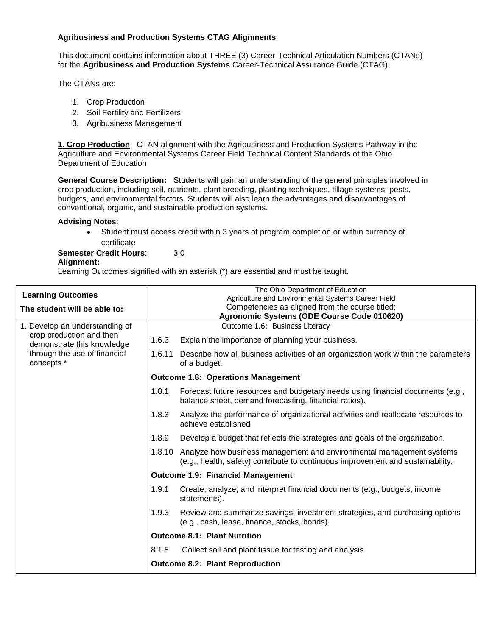# **Agribusiness and Production Systems CTAG Alignments**

This document contains information about THREE (3) Career-Technical Articulation Numbers (CTANs) for the **Agribusiness and Production Systems** Career-Technical Assurance Guide (CTAG).

The CTANs are:

- 1. Crop Production
- 2. Soil Fertility and Fertilizers
- 3. Agribusiness Management

**1. Crop Production** CTAN alignment with the Agribusiness and Production Systems Pathway in the Agriculture and Environmental Systems Career Field Technical Content Standards of the Ohio Department of Education

**General Course Description:** Students will gain an understanding of the general principles involved in crop production, including soil, nutrients, plant breeding, planting techniques, tillage systems, pests, budgets, and environmental factors. Students will also learn the advantages and disadvantages of conventional, organic, and sustainable production systems.

#### **Advising Notes**:

 Student must access credit within 3 years of program completion or within currency of certificate

**Semester Credit Hours:** 3.0

#### **Alignment:**

Learning Outcomes signified with an asterisk (\*) are essential and must be taught.

| <b>Learning Outcomes</b>                               | The Ohio Department of Education<br>Agriculture and Environmental Systems Career Field        |                                                                                                                                                                |  |  |  |  |
|--------------------------------------------------------|-----------------------------------------------------------------------------------------------|----------------------------------------------------------------------------------------------------------------------------------------------------------------|--|--|--|--|
| The student will be able to:                           | Competencies as aligned from the course titled:<br>Agronomic Systems (ODE Course Code 010620) |                                                                                                                                                                |  |  |  |  |
| 1. Develop an understanding of                         |                                                                                               | Outcome 1.6: Business Literacy                                                                                                                                 |  |  |  |  |
| crop production and then<br>demonstrate this knowledge | 1.6.3                                                                                         | Explain the importance of planning your business.                                                                                                              |  |  |  |  |
| through the use of financial<br>concepts.*             |                                                                                               | 1.6.11 Describe how all business activities of an organization work within the parameters<br>of a budget.                                                      |  |  |  |  |
|                                                        | <b>Outcome 1.8: Operations Management</b>                                                     |                                                                                                                                                                |  |  |  |  |
|                                                        | 1.8.1                                                                                         | Forecast future resources and budgetary needs using financial documents (e.g.,<br>balance sheet, demand forecasting, financial ratios).                        |  |  |  |  |
|                                                        | 1.8.3                                                                                         | Analyze the performance of organizational activities and reallocate resources to<br>achieve established                                                        |  |  |  |  |
|                                                        | 1.8.9                                                                                         | Develop a budget that reflects the strategies and goals of the organization.                                                                                   |  |  |  |  |
|                                                        |                                                                                               | 1.8.10 Analyze how business management and environmental management systems<br>(e.g., health, safety) contribute to continuous improvement and sustainability. |  |  |  |  |
|                                                        |                                                                                               | <b>Outcome 1.9: Financial Management</b>                                                                                                                       |  |  |  |  |
|                                                        | 1.9.1                                                                                         | Create, analyze, and interpret financial documents (e.g., budgets, income<br>statements).                                                                      |  |  |  |  |
|                                                        | 1.9.3                                                                                         | Review and summarize savings, investment strategies, and purchasing options<br>(e.g., cash, lease, finance, stocks, bonds).                                    |  |  |  |  |
|                                                        |                                                                                               | <b>Outcome 8.1: Plant Nutrition</b>                                                                                                                            |  |  |  |  |
|                                                        | 8.1.5                                                                                         | Collect soil and plant tissue for testing and analysis.                                                                                                        |  |  |  |  |
|                                                        |                                                                                               | <b>Outcome 8.2: Plant Reproduction</b>                                                                                                                         |  |  |  |  |
|                                                        |                                                                                               |                                                                                                                                                                |  |  |  |  |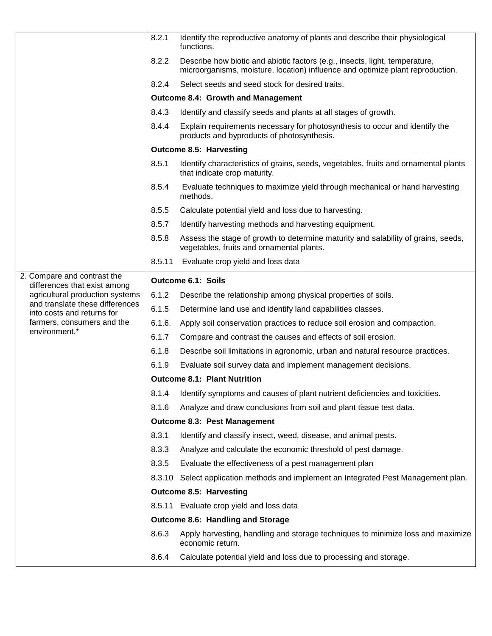|                                                                 | 8.2.1                               | Identify the reproductive anatomy of plants and describe their physiological<br>functions.                                                                    |  |  |  |  |
|-----------------------------------------------------------------|-------------------------------------|---------------------------------------------------------------------------------------------------------------------------------------------------------------|--|--|--|--|
|                                                                 | 8.2.2                               | Describe how biotic and abiotic factors (e.g., insects, light, temperature,<br>microorganisms, moisture, location) influence and optimize plant reproduction. |  |  |  |  |
|                                                                 | 8.2.4                               | Select seeds and seed stock for desired traits.                                                                                                               |  |  |  |  |
|                                                                 |                                     | <b>Outcome 8.4: Growth and Management</b>                                                                                                                     |  |  |  |  |
|                                                                 | 8.4.3                               | Identify and classify seeds and plants at all stages of growth.                                                                                               |  |  |  |  |
|                                                                 | 8.4.4                               | Explain requirements necessary for photosynthesis to occur and identify the<br>products and byproducts of photosynthesis.                                     |  |  |  |  |
|                                                                 | <b>Outcome 8.5: Harvesting</b>      |                                                                                                                                                               |  |  |  |  |
|                                                                 | 8.5.1                               | Identify characteristics of grains, seeds, vegetables, fruits and ornamental plants<br>that indicate crop maturity.                                           |  |  |  |  |
|                                                                 | 8.5.4                               | Evaluate techniques to maximize yield through mechanical or hand harvesting<br>methods.                                                                       |  |  |  |  |
|                                                                 | 8.5.5                               | Calculate potential yield and loss due to harvesting.                                                                                                         |  |  |  |  |
|                                                                 | 8.5.7                               | Identify harvesting methods and harvesting equipment.                                                                                                         |  |  |  |  |
|                                                                 | 8.5.8                               | Assess the stage of growth to determine maturity and salability of grains, seeds,<br>vegetables, fruits and ornamental plants.                                |  |  |  |  |
|                                                                 | 8.5.11                              | Evaluate crop yield and loss data                                                                                                                             |  |  |  |  |
| 2. Compare and contrast the                                     |                                     | Outcome 6.1: Soils                                                                                                                                            |  |  |  |  |
| differences that exist among<br>agricultural production systems | 6.1.2                               | Describe the relationship among physical properties of soils.                                                                                                 |  |  |  |  |
| and translate these differences                                 | 6.1.5                               | Determine land use and identify land capabilities classes.                                                                                                    |  |  |  |  |
| into costs and returns for<br>farmers, consumers and the        | 6.1.6.                              | Apply soil conservation practices to reduce soil erosion and compaction.                                                                                      |  |  |  |  |
| environment.*                                                   | 6.1.7                               | Compare and contrast the causes and effects of soil erosion.                                                                                                  |  |  |  |  |
|                                                                 | 6.1.8                               | Describe soil limitations in agronomic, urban and natural resource practices.                                                                                 |  |  |  |  |
|                                                                 | 6.1.9                               | Evaluate soil survey data and implement management decisions.                                                                                                 |  |  |  |  |
|                                                                 | <b>Outcome 8.1: Plant Nutrition</b> |                                                                                                                                                               |  |  |  |  |
|                                                                 | 8.1.4                               | Identify symptoms and causes of plant nutrient deficiencies and toxicities.                                                                                   |  |  |  |  |
|                                                                 | 8.1.6                               | Analyze and draw conclusions from soil and plant tissue test data.                                                                                            |  |  |  |  |
|                                                                 | <b>Outcome 8.3: Pest Management</b> |                                                                                                                                                               |  |  |  |  |
|                                                                 | 8.3.1                               | Identify and classify insect, weed, disease, and animal pests.                                                                                                |  |  |  |  |
|                                                                 | 8.3.3                               | Analyze and calculate the economic threshold of pest damage.                                                                                                  |  |  |  |  |
|                                                                 | 8.3.5                               | Evaluate the effectiveness of a pest management plan                                                                                                          |  |  |  |  |
|                                                                 | 8.3.10                              | Select application methods and implement an Integrated Pest Management plan.                                                                                  |  |  |  |  |
|                                                                 |                                     | <b>Outcome 8.5: Harvesting</b>                                                                                                                                |  |  |  |  |
|                                                                 |                                     |                                                                                                                                                               |  |  |  |  |
|                                                                 |                                     | 8.5.11 Evaluate crop yield and loss data                                                                                                                      |  |  |  |  |
|                                                                 |                                     | Outcome 8.6: Handling and Storage                                                                                                                             |  |  |  |  |
|                                                                 | 8.6.3                               | Apply harvesting, handling and storage techniques to minimize loss and maximize<br>economic return.                                                           |  |  |  |  |
|                                                                 | 8.6.4                               | Calculate potential yield and loss due to processing and storage.                                                                                             |  |  |  |  |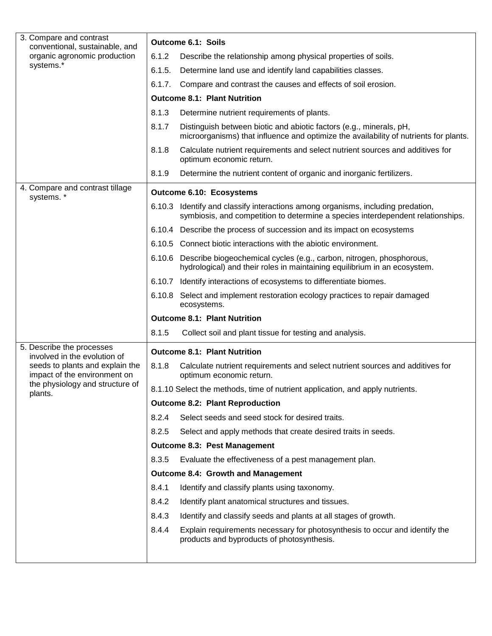| 3. Compare and contrast<br>conventional, sustainable, and       | <b>Outcome 6.1: Soils</b> |                                                                                                                                                              |  |  |  |  |
|-----------------------------------------------------------------|---------------------------|--------------------------------------------------------------------------------------------------------------------------------------------------------------|--|--|--|--|
| organic agronomic production                                    | 6.1.2                     | Describe the relationship among physical properties of soils.                                                                                                |  |  |  |  |
| systems.*                                                       | 6.1.5.                    | Determine land use and identify land capabilities classes.                                                                                                   |  |  |  |  |
|                                                                 | 6.1.7.                    | Compare and contrast the causes and effects of soil erosion.                                                                                                 |  |  |  |  |
|                                                                 |                           | <b>Outcome 8.1: Plant Nutrition</b>                                                                                                                          |  |  |  |  |
|                                                                 | 8.1.3                     | Determine nutrient requirements of plants.                                                                                                                   |  |  |  |  |
|                                                                 | 8.1.7                     | Distinguish between biotic and abiotic factors (e.g., minerals, pH,<br>microorganisms) that influence and optimize the availability of nutrients for plants. |  |  |  |  |
|                                                                 | 8.1.8                     | Calculate nutrient requirements and select nutrient sources and additives for<br>optimum economic return.                                                    |  |  |  |  |
|                                                                 | 8.1.9                     | Determine the nutrient content of organic and inorganic fertilizers.                                                                                         |  |  |  |  |
| 4. Compare and contrast tillage<br>systems.*                    | Outcome 6.10: Ecosystems  |                                                                                                                                                              |  |  |  |  |
|                                                                 | 6.10.3                    | Identify and classify interactions among organisms, including predation,<br>symbiosis, and competition to determine a species interdependent relationships.  |  |  |  |  |
|                                                                 |                           | 6.10.4 Describe the process of succession and its impact on ecosystems                                                                                       |  |  |  |  |
|                                                                 |                           | 6.10.5 Connect biotic interactions with the abiotic environment.                                                                                             |  |  |  |  |
|                                                                 |                           | 6.10.6 Describe biogeochemical cycles (e.g., carbon, nitrogen, phosphorous,<br>hydrological) and their roles in maintaining equilibrium in an ecosystem.     |  |  |  |  |
|                                                                 |                           | 6.10.7 Identify interactions of ecosystems to differentiate biomes.                                                                                          |  |  |  |  |
|                                                                 |                           | 6.10.8 Select and implement restoration ecology practices to repair damaged<br>ecosystems.                                                                   |  |  |  |  |
|                                                                 |                           | <b>Outcome 8.1: Plant Nutrition</b>                                                                                                                          |  |  |  |  |
|                                                                 | 8.1.5                     | Collect soil and plant tissue for testing and analysis.                                                                                                      |  |  |  |  |
| 5. Describe the processes<br>involved in the evolution of       |                           | <b>Outcome 8.1: Plant Nutrition</b>                                                                                                                          |  |  |  |  |
| seeds to plants and explain the<br>impact of the environment on | 8.1.8                     | Calculate nutrient requirements and select nutrient sources and additives for<br>optimum economic return.                                                    |  |  |  |  |
| the physiology and structure of<br>plants.                      |                           | 8.1.10 Select the methods, time of nutrient application, and apply nutrients.                                                                                |  |  |  |  |
|                                                                 |                           | <b>Outcome 8.2: Plant Reproduction</b>                                                                                                                       |  |  |  |  |
|                                                                 | 8.2.4                     | Select seeds and seed stock for desired traits.                                                                                                              |  |  |  |  |
|                                                                 | 8.2.5                     | Select and apply methods that create desired traits in seeds.                                                                                                |  |  |  |  |
|                                                                 |                           | <b>Outcome 8.3: Pest Management</b>                                                                                                                          |  |  |  |  |
|                                                                 | 8.3.5                     | Evaluate the effectiveness of a pest management plan.                                                                                                        |  |  |  |  |
|                                                                 |                           | <b>Outcome 8.4: Growth and Management</b>                                                                                                                    |  |  |  |  |
|                                                                 | 8.4.1                     | Identify and classify plants using taxonomy.                                                                                                                 |  |  |  |  |
|                                                                 | 8.4.2                     | Identify plant anatomical structures and tissues.                                                                                                            |  |  |  |  |
|                                                                 | 8.4.3                     | Identify and classify seeds and plants at all stages of growth.                                                                                              |  |  |  |  |
|                                                                 | 8.4.4                     | Explain requirements necessary for photosynthesis to occur and identify the<br>products and byproducts of photosynthesis.                                    |  |  |  |  |
|                                                                 |                           |                                                                                                                                                              |  |  |  |  |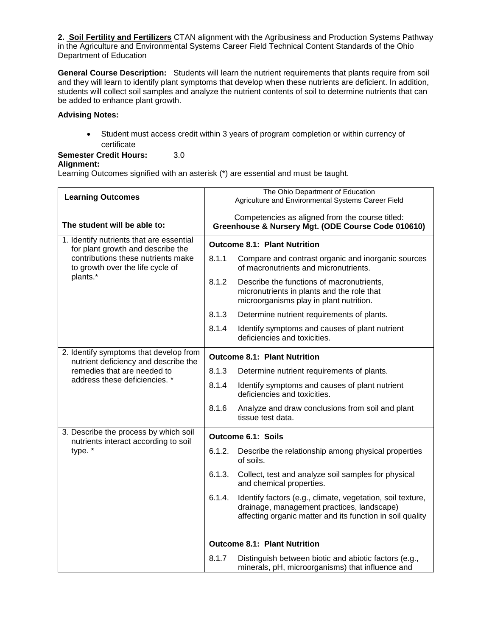**2. Soil Fertility and Fertilizers** CTAN alignment with the Agribusiness and Production Systems Pathway in the Agriculture and Environmental Systems Career Field Technical Content Standards of the Ohio Department of Education

**General Course Description:** Students will learn the nutrient requirements that plants require from soil and they will learn to identify plant symptoms that develop when these nutrients are deficient. In addition, students will collect soil samples and analyze the nutrient contents of soil to determine nutrients that can be added to enhance plant growth.

## **Advising Notes:**

 Student must access credit within 3 years of program completion or within currency of certificate

**Semester Credit Hours:** 3.0

#### **Alignment:**

Learning Outcomes signified with an asterisk (\*) are essential and must be taught.

| <b>Learning Outcomes</b>                                                           |                                     | The Ohio Department of Education<br>Agriculture and Environmental Systems Career Field                                                                                |  |  |
|------------------------------------------------------------------------------------|-------------------------------------|-----------------------------------------------------------------------------------------------------------------------------------------------------------------------|--|--|
| The student will be able to:                                                       |                                     | Competencies as aligned from the course titled:<br>Greenhouse & Nursery Mgt. (ODE Course Code 010610)                                                                 |  |  |
| 1. Identify nutrients that are essential<br>for plant growth and describe the      |                                     | <b>Outcome 8.1: Plant Nutrition</b>                                                                                                                                   |  |  |
| contributions these nutrients make<br>to growth over the life cycle of<br>plants.* | 8.1.1                               | Compare and contrast organic and inorganic sources<br>of macronutrients and micronutrients.                                                                           |  |  |
|                                                                                    | 8.1.2                               | Describe the functions of macronutrients,<br>micronutrients in plants and the role that<br>microorganisms play in plant nutrition.                                    |  |  |
|                                                                                    | 8.1.3                               | Determine nutrient requirements of plants.                                                                                                                            |  |  |
|                                                                                    | 8.1.4                               | Identify symptoms and causes of plant nutrient<br>deficiencies and toxicities.                                                                                        |  |  |
| 2. Identify symptoms that develop from<br>nutrient deficiency and describe the     | <b>Outcome 8.1: Plant Nutrition</b> |                                                                                                                                                                       |  |  |
| remedies that are needed to                                                        | 8.1.3                               | Determine nutrient requirements of plants.                                                                                                                            |  |  |
| address these deficiencies. *                                                      | 8.1.4                               | Identify symptoms and causes of plant nutrient<br>deficiencies and toxicities.                                                                                        |  |  |
|                                                                                    | 8.1.6                               | Analyze and draw conclusions from soil and plant<br>tissue test data.                                                                                                 |  |  |
| 3. Describe the process by which soil<br>nutrients interact according to soil      | Outcome 6.1: Soils                  |                                                                                                                                                                       |  |  |
| type. *                                                                            | 6.1.2.                              | Describe the relationship among physical properties<br>of soils.                                                                                                      |  |  |
|                                                                                    | 6.1.3.                              | Collect, test and analyze soil samples for physical<br>and chemical properties.                                                                                       |  |  |
|                                                                                    | 6.1.4.                              | Identify factors (e.g., climate, vegetation, soil texture,<br>drainage, management practices, landscape)<br>affecting organic matter and its function in soil quality |  |  |
|                                                                                    |                                     | <b>Outcome 8.1: Plant Nutrition</b>                                                                                                                                   |  |  |
|                                                                                    | 8.1.7                               | Distinguish between biotic and abiotic factors (e.g.,<br>minerals, pH, microorganisms) that influence and                                                             |  |  |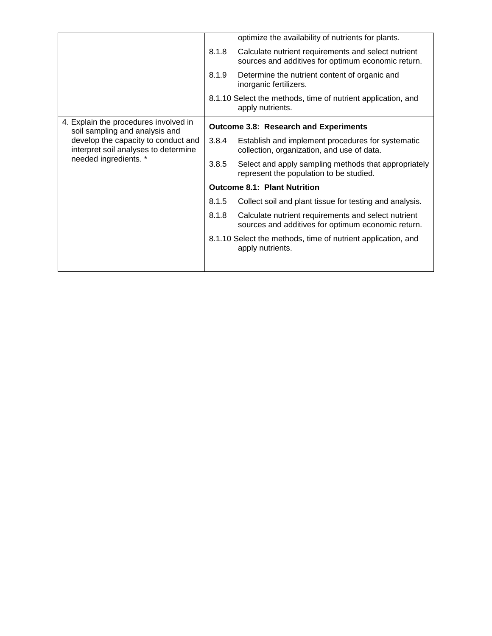|                                                                                                      |                                     | optimize the availability of nutrients for plants.                                                        |  |  |
|------------------------------------------------------------------------------------------------------|-------------------------------------|-----------------------------------------------------------------------------------------------------------|--|--|
|                                                                                                      | 8.1.8                               | Calculate nutrient requirements and select nutrient<br>sources and additives for optimum economic return. |  |  |
|                                                                                                      | 8.1.9                               | Determine the nutrient content of organic and<br>inorganic fertilizers.                                   |  |  |
|                                                                                                      |                                     | 8.1.10 Select the methods, time of nutrient application, and<br>apply nutrients.                          |  |  |
| 4. Explain the procedures involved in<br>soil sampling and analysis and                              |                                     | <b>Outcome 3.8: Research and Experiments</b>                                                              |  |  |
| develop the capacity to conduct and<br>interpret soil analyses to determine<br>needed ingredients. * | 3.8.4                               | Establish and implement procedures for systematic<br>collection, organization, and use of data.           |  |  |
|                                                                                                      | 3.8.5                               | Select and apply sampling methods that appropriately<br>represent the population to be studied.           |  |  |
|                                                                                                      | <b>Outcome 8.1: Plant Nutrition</b> |                                                                                                           |  |  |
|                                                                                                      | 8.1.5                               | Collect soil and plant tissue for testing and analysis.                                                   |  |  |
|                                                                                                      | 8.1.8                               | Calculate nutrient requirements and select nutrient<br>sources and additives for optimum economic return. |  |  |
|                                                                                                      |                                     | 8.1.10 Select the methods, time of nutrient application, and<br>apply nutrients.                          |  |  |
|                                                                                                      |                                     |                                                                                                           |  |  |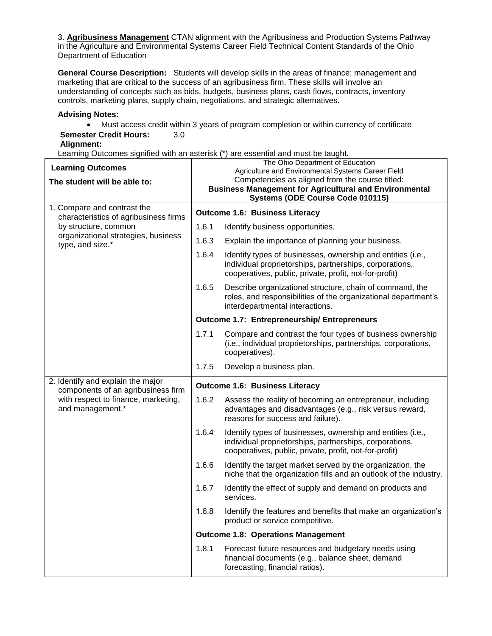3. **Agribusiness Management** CTAN alignment with the Agribusiness and Production Systems Pathway in the Agriculture and Environmental Systems Career Field Technical Content Standards of the Ohio Department of Education

**General Course Description:** Students will develop skills in the areas of finance; management and marketing that are critical to the success of an agribusiness firm. These skills will involve an understanding of concepts such as bids, budgets, business plans, cash flows, contracts, inventory controls, marketing plans, supply chain, negotiations, and strategic alternatives.

## **Advising Notes:**

 Must access credit within 3 years of program completion or within currency of certificate **Semester Credit Hours:** 3.0

# **Alignment:**

Learning Outcomes signified with an asterisk (\*) are essential and must be taught.

| <b>Learning Outcomes</b><br>The student will be able to:                | The Ohio Department of Education<br>Agriculture and Environmental Systems Career Field<br>Competencies as aligned from the course titled:<br><b>Business Management for Agricultural and Environmental</b> |                                                                                                                                                                                  |  |  |
|-------------------------------------------------------------------------|------------------------------------------------------------------------------------------------------------------------------------------------------------------------------------------------------------|----------------------------------------------------------------------------------------------------------------------------------------------------------------------------------|--|--|
|                                                                         |                                                                                                                                                                                                            | Systems (ODE Course Code 010115)                                                                                                                                                 |  |  |
| 1. Compare and contrast the<br>characteristics of agribusiness firms    |                                                                                                                                                                                                            | <b>Outcome 1.6: Business Literacy</b>                                                                                                                                            |  |  |
| by structure, common                                                    | 1.6.1                                                                                                                                                                                                      | Identify business opportunities.                                                                                                                                                 |  |  |
| organizational strategies, business<br>type, and size.*                 | 1.6.3                                                                                                                                                                                                      | Explain the importance of planning your business.                                                                                                                                |  |  |
|                                                                         | 1.6.4                                                                                                                                                                                                      | Identify types of businesses, ownership and entities (i.e.,<br>individual proprietorships, partnerships, corporations,<br>cooperatives, public, private, profit, not-for-profit) |  |  |
|                                                                         | 1.6.5                                                                                                                                                                                                      | Describe organizational structure, chain of command, the<br>roles, and responsibilities of the organizational department's<br>interdepartmental interactions.                    |  |  |
|                                                                         |                                                                                                                                                                                                            | <b>Outcome 1.7: Entrepreneurship/ Entrepreneurs</b>                                                                                                                              |  |  |
|                                                                         | 1.7.1                                                                                                                                                                                                      | Compare and contrast the four types of business ownership<br>(i.e., individual proprietorships, partnerships, corporations,<br>cooperatives).                                    |  |  |
|                                                                         | 1.7.5                                                                                                                                                                                                      | Develop a business plan.                                                                                                                                                         |  |  |
| 2. Identify and explain the major<br>components of an agribusiness firm | <b>Outcome 1.6: Business Literacy</b>                                                                                                                                                                      |                                                                                                                                                                                  |  |  |
| with respect to finance, marketing,<br>and management.*                 | 1.6.2                                                                                                                                                                                                      | Assess the reality of becoming an entrepreneur, including<br>advantages and disadvantages (e.g., risk versus reward,<br>reasons for success and failure).                        |  |  |
|                                                                         | 1.6.4                                                                                                                                                                                                      | Identify types of businesses, ownership and entities (i.e.,<br>individual proprietorships, partnerships, corporations,<br>cooperatives, public, private, profit, not-for-profit) |  |  |
|                                                                         | 1.6.6                                                                                                                                                                                                      | Identify the target market served by the organization, the<br>niche that the organization fills and an outlook of the industry.                                                  |  |  |
|                                                                         | 1.6.7                                                                                                                                                                                                      | Identify the effect of supply and demand on products and<br>services.                                                                                                            |  |  |
|                                                                         | 1.6.8                                                                                                                                                                                                      | Identify the features and benefits that make an organization's<br>product or service competitive.                                                                                |  |  |
|                                                                         | <b>Outcome 1.8: Operations Management</b>                                                                                                                                                                  |                                                                                                                                                                                  |  |  |
|                                                                         | 1.8.1                                                                                                                                                                                                      | Forecast future resources and budgetary needs using<br>financial documents (e.g., balance sheet, demand<br>forecasting, financial ratios).                                       |  |  |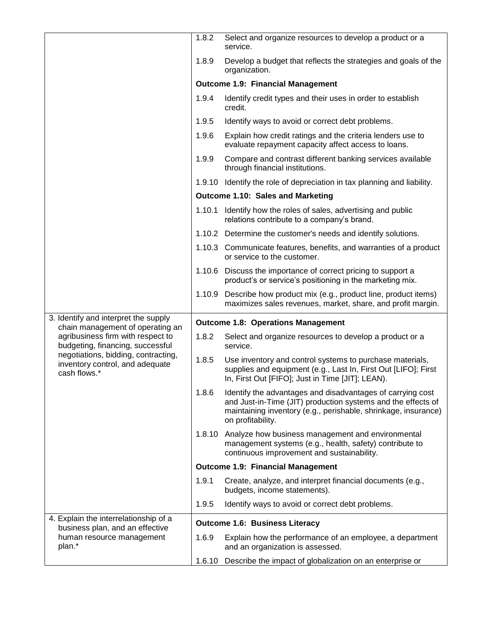|                                                                                                                                                                                                     | 1.8.2                                     | Select and organize resources to develop a product or a<br>service.                                                                                                                                               |  |  |
|-----------------------------------------------------------------------------------------------------------------------------------------------------------------------------------------------------|-------------------------------------------|-------------------------------------------------------------------------------------------------------------------------------------------------------------------------------------------------------------------|--|--|
|                                                                                                                                                                                                     | 1.8.9                                     | Develop a budget that reflects the strategies and goals of the<br>organization.                                                                                                                                   |  |  |
|                                                                                                                                                                                                     |                                           | <b>Outcome 1.9: Financial Management</b>                                                                                                                                                                          |  |  |
|                                                                                                                                                                                                     | 1.9.4                                     | Identify credit types and their uses in order to establish<br>credit.                                                                                                                                             |  |  |
|                                                                                                                                                                                                     | 1.9.5                                     | Identify ways to avoid or correct debt problems.                                                                                                                                                                  |  |  |
|                                                                                                                                                                                                     | 1.9.6                                     | Explain how credit ratings and the criteria lenders use to<br>evaluate repayment capacity affect access to loans.                                                                                                 |  |  |
|                                                                                                                                                                                                     | 1.9.9                                     | Compare and contrast different banking services available<br>through financial institutions.                                                                                                                      |  |  |
|                                                                                                                                                                                                     |                                           | 1.9.10 Identify the role of depreciation in tax planning and liability.                                                                                                                                           |  |  |
|                                                                                                                                                                                                     |                                           | Outcome 1.10: Sales and Marketing                                                                                                                                                                                 |  |  |
|                                                                                                                                                                                                     |                                           | 1.10.1 Identify how the roles of sales, advertising and public<br>relations contribute to a company's brand.                                                                                                      |  |  |
|                                                                                                                                                                                                     |                                           | 1.10.2 Determine the customer's needs and identify solutions.                                                                                                                                                     |  |  |
|                                                                                                                                                                                                     |                                           | 1.10.3 Communicate features, benefits, and warranties of a product<br>or service to the customer.                                                                                                                 |  |  |
|                                                                                                                                                                                                     |                                           | 1.10.6 Discuss the importance of correct pricing to support a<br>product's or service's positioning in the marketing mix.                                                                                         |  |  |
|                                                                                                                                                                                                     |                                           | 1.10.9 Describe how product mix (e.g., product line, product items)<br>maximizes sales revenues, market, share, and profit margin.                                                                                |  |  |
| 3. Identify and interpret the supply                                                                                                                                                                | <b>Outcome 1.8: Operations Management</b> |                                                                                                                                                                                                                   |  |  |
| chain management of operating an<br>agribusiness firm with respect to<br>budgeting, financing, successful<br>negotiations, bidding, contracting,<br>inventory control, and adequate<br>cash flows.* | 1.8.2                                     | Select and organize resources to develop a product or a<br>service.                                                                                                                                               |  |  |
|                                                                                                                                                                                                     | 1.8.5                                     | Use inventory and control systems to purchase materials,<br>supplies and equipment (e.g., Last In, First Out [LIFO]; First<br>In, First Out [FIFO]; Just in Time [JIT]; LEAN).                                    |  |  |
|                                                                                                                                                                                                     | 1.8.6                                     | Identify the advantages and disadvantages of carrying cost<br>and Just-in-Time (JIT) production systems and the effects of<br>maintaining inventory (e.g., perishable, shrinkage, insurance)<br>on profitability. |  |  |
|                                                                                                                                                                                                     |                                           | 1.8.10 Analyze how business management and environmental<br>management systems (e.g., health, safety) contribute to<br>continuous improvement and sustainability.                                                 |  |  |
|                                                                                                                                                                                                     |                                           | <b>Outcome 1.9: Financial Management</b>                                                                                                                                                                          |  |  |
|                                                                                                                                                                                                     | 1.9.1                                     | Create, analyze, and interpret financial documents (e.g.,<br>budgets, income statements).                                                                                                                         |  |  |
|                                                                                                                                                                                                     | 1.9.5                                     | Identify ways to avoid or correct debt problems.                                                                                                                                                                  |  |  |
| 4. Explain the interrelationship of a<br>business plan, and an effective                                                                                                                            |                                           | <b>Outcome 1.6: Business Literacy</b>                                                                                                                                                                             |  |  |
| human resource management<br>plan.*                                                                                                                                                                 | 1.6.9                                     | Explain how the performance of an employee, a department<br>and an organization is assessed.                                                                                                                      |  |  |
|                                                                                                                                                                                                     |                                           | 1.6.10 Describe the impact of globalization on an enterprise or                                                                                                                                                   |  |  |